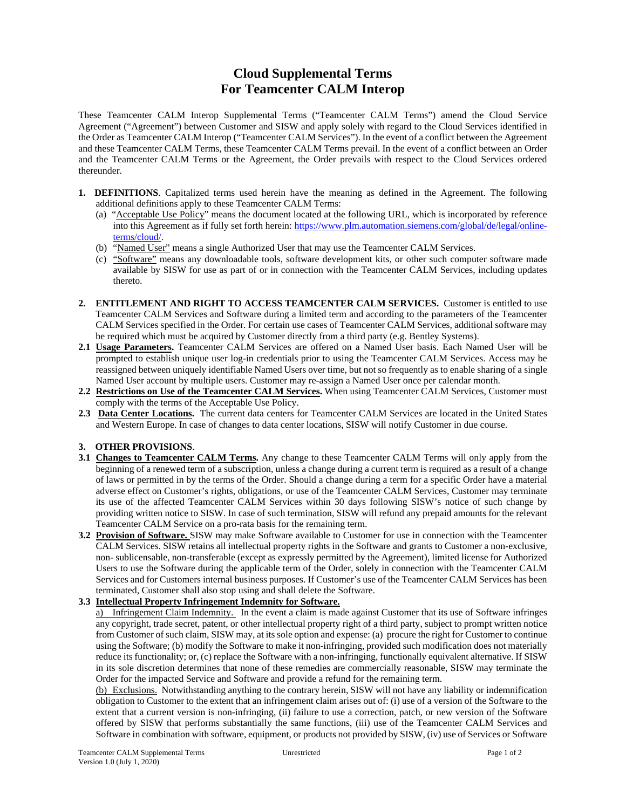## **Cloud Supplemental Terms For Teamcenter CALM Interop**

These Teamcenter CALM Interop Supplemental Terms ("Teamcenter CALM Terms") amend the Cloud Service Agreement ("Agreement") between Customer and SISW and apply solely with regard to the Cloud Services identified in the Order as Teamcenter CALM Interop ("Teamcenter CALM Services"). In the event of a conflict between the Agreement and these Teamcenter CALM Terms, these Teamcenter CALM Terms prevail. In the event of a conflict between an Order and the Teamcenter CALM Terms or the Agreement, the Order prevails with respect to the Cloud Services ordered thereunder.

- **1. DEFINITIONS**. Capitalized terms used herein have the meaning as defined in the Agreement. The following additional definitions apply to these Teamcenter CALM Terms:
	- (a) "Acceptable Use Policy" means the document located at the following URL, which is incorporated by reference into this Agreement as if fully set forth herein: https://www.plm.automation.siemens.com/global/de/legal/onlineterms/cloud/.
	- (b) "Named User" means a single Authorized User that may use the Teamcenter CALM Services.
	- (c) "Software" means any downloadable tools, software development kits, or other such computer software made available by SISW for use as part of or in connection with the Teamcenter CALM Services, including updates thereto.
- **2. ENTITLEMENT AND RIGHT TO ACCESS TEAMCENTER CALM SERVICES.** Customer is entitled to use Teamcenter CALM Services and Software during a limited term and according to the parameters of the Teamcenter CALM Services specified in the Order. For certain use cases of Teamcenter CALM Services, additional software may be required which must be acquired by Customer directly from a third party (e.g. Bentley Systems).
- **2.1 Usage Parameters.** Teamcenter CALM Services are offered on a Named User basis. Each Named User will be prompted to establish unique user log-in credentials prior to using the Teamcenter CALM Services. Access may be reassigned between uniquely identifiable Named Users over time, but not so frequently as to enable sharing of a single Named User account by multiple users. Customer may re-assign a Named User once per calendar month.
- **2.2 Restrictions on Use of the Teamcenter CALM Services.** When using Teamcenter CALM Services, Customer must comply with the terms of the Acceptable Use Policy.
- **2.3 Data Center Locations.** The current data centers for Teamcenter CALM Services are located in the United States and Western Europe. In case of changes to data center locations, SISW will notify Customer in due course.

## **3. OTHER PROVISIONS**.

- **3.1 Changes to Teamcenter CALM Terms.** Any change to these Teamcenter CALM Terms will only apply from the beginning of a renewed term of a subscription, unless a change during a current term is required as a result of a change of laws or permitted in by the terms of the Order. Should a change during a term for a specific Order have a material adverse effect on Customer's rights, obligations, or use of the Teamcenter CALM Services, Customer may terminate its use of the affected Teamcenter CALM Services within 30 days following SISW's notice of such change by providing written notice to SISW. In case of such termination, SISW will refund any prepaid amounts for the relevant Teamcenter CALM Service on a pro-rata basis for the remaining term.
- **3.2 Provision of Software.** SISW may make Software available to Customer for use in connection with the Teamcenter CALM Services. SISW retains all intellectual property rights in the Software and grants to Customer a non-exclusive, non- sublicensable, non-transferable (except as expressly permitted by the Agreement), limited license for Authorized Users to use the Software during the applicable term of the Order, solely in connection with the Teamcenter CALM Services and for Customers internal business purposes. If Customer's use of the Teamcenter CALM Services has been terminated, Customer shall also stop using and shall delete the Software.

## **3.3 Intellectual Property Infringement Indemnity for Software.**

a) Infringement Claim Indemnity. In the event a claim is made against Customer that its use of Software infringes any copyright, trade secret, patent, or other intellectual property right of a third party, subject to prompt written notice from Customer of such claim, SISW may, at its sole option and expense: (a) procure the right for Customer to continue using the Software; (b) modify the Software to make it non-infringing, provided such modification does not materially reduce its functionality; or, (c) replace the Software with a non-infringing, functionally equivalent alternative. If SISW in its sole discretion determines that none of these remedies are commercially reasonable, SISW may terminate the Order for the impacted Service and Software and provide a refund for the remaining term.

(b) Exclusions. Notwithstanding anything to the contrary herein, SISW will not have any liability or indemnification obligation to Customer to the extent that an infringement claim arises out of: (i) use of a version of the Software to the extent that a current version is non-infringing, (ii) failure to use a correction, patch, or new version of the Software offered by SISW that performs substantially the same functions, (iii) use of the Teamcenter CALM Services and Software in combination with software, equipment, or products not provided by SISW, (iv) use of Services or Software